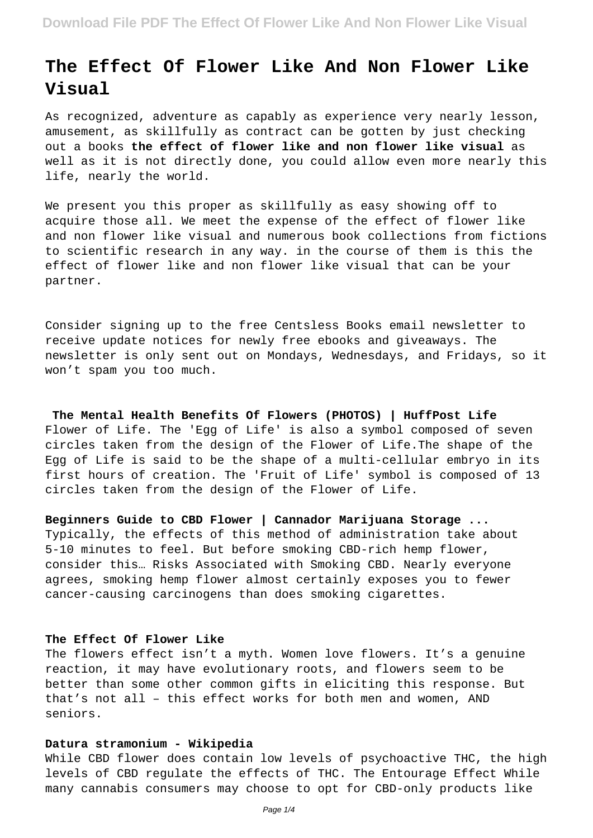# **The Effect Of Flower Like And Non Flower Like Visual**

As recognized, adventure as capably as experience very nearly lesson, amusement, as skillfully as contract can be gotten by just checking out a books **the effect of flower like and non flower like visual** as well as it is not directly done, you could allow even more nearly this life, nearly the world.

We present you this proper as skillfully as easy showing off to acquire those all. We meet the expense of the effect of flower like and non flower like visual and numerous book collections from fictions to scientific research in any way. in the course of them is this the effect of flower like and non flower like visual that can be your partner.

Consider signing up to the free Centsless Books email newsletter to receive update notices for newly free ebooks and giveaways. The newsletter is only sent out on Mondays, Wednesdays, and Fridays, so it won't spam you too much.

**The Mental Health Benefits Of Flowers (PHOTOS) | HuffPost Life** Flower of Life. The 'Egg of Life' is also a symbol composed of seven circles taken from the design of the Flower of Life.The shape of the Egg of Life is said to be the shape of a multi-cellular embryo in its first hours of creation. The 'Fruit of Life' symbol is composed of 13 circles taken from the design of the Flower of Life.

**Beginners Guide to CBD Flower | Cannador Marijuana Storage ...** Typically, the effects of this method of administration take about 5-10 minutes to feel. But before smoking CBD-rich hemp flower, consider this… Risks Associated with Smoking CBD. Nearly everyone agrees, smoking hemp flower almost certainly exposes you to fewer cancer-causing carcinogens than does smoking cigarettes.

## **The Effect Of Flower Like**

The flowers effect isn't a myth. Women love flowers. It's a genuine reaction, it may have evolutionary roots, and flowers seem to be better than some other common gifts in eliciting this response. But that's not all – this effect works for both men and women, AND seniors.

#### **Datura stramonium - Wikipedia**

While CBD flower does contain low levels of psychoactive THC, the high levels of CBD regulate the effects of THC. The Entourage Effect While many cannabis consumers may choose to opt for CBD-only products like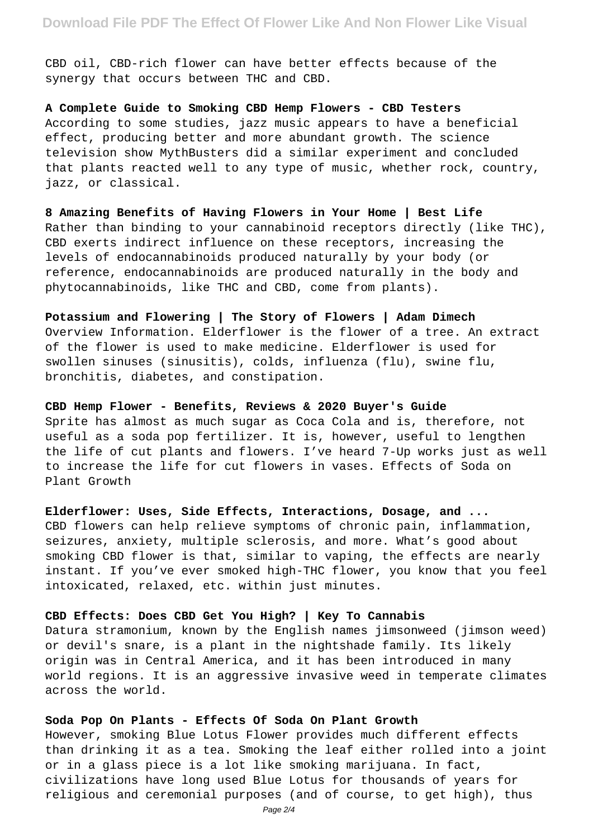CBD oil, CBD-rich flower can have better effects because of the synergy that occurs between THC and CBD.

**A Complete Guide to Smoking CBD Hemp Flowers - CBD Testers** According to some studies, jazz music appears to have a beneficial effect, producing better and more abundant growth. The science television show MythBusters did a similar experiment and concluded that plants reacted well to any type of music, whether rock, country, jazz, or classical.

**8 Amazing Benefits of Having Flowers in Your Home | Best Life** Rather than binding to your cannabinoid receptors directly (like THC), CBD exerts indirect influence on these receptors, increasing the levels of endocannabinoids produced naturally by your body (or reference, endocannabinoids are produced naturally in the body and phytocannabinoids, like THC and CBD, come from plants).

**Potassium and Flowering | The Story of Flowers | Adam Dimech** Overview Information. Elderflower is the flower of a tree. An extract of the flower is used to make medicine. Elderflower is used for swollen sinuses (sinusitis), colds, influenza (flu), swine flu, bronchitis, diabetes, and constipation.

#### **CBD Hemp Flower - Benefits, Reviews & 2020 Buyer's Guide**

Sprite has almost as much sugar as Coca Cola and is, therefore, not useful as a soda pop fertilizer. It is, however, useful to lengthen the life of cut plants and flowers. I've heard 7-Up works just as well to increase the life for cut flowers in vases. Effects of Soda on Plant Growth

#### **Elderflower: Uses, Side Effects, Interactions, Dosage, and ...**

CBD flowers can help relieve symptoms of chronic pain, inflammation, seizures, anxiety, multiple sclerosis, and more. What's good about smoking CBD flower is that, similar to vaping, the effects are nearly instant. If you've ever smoked high-THC flower, you know that you feel intoxicated, relaxed, etc. within just minutes.

# **CBD Effects: Does CBD Get You High? | Key To Cannabis**

Datura stramonium, known by the English names jimsonweed (jimson weed) or devil's snare, is a plant in the nightshade family. Its likely origin was in Central America, and it has been introduced in many world regions. It is an aggressive invasive weed in temperate climates across the world.

#### **Soda Pop On Plants - Effects Of Soda On Plant Growth**

However, smoking Blue Lotus Flower provides much different effects than drinking it as a tea. Smoking the leaf either rolled into a joint or in a glass piece is a lot like smoking marijuana. In fact, civilizations have long used Blue Lotus for thousands of years for religious and ceremonial purposes (and of course, to get high), thus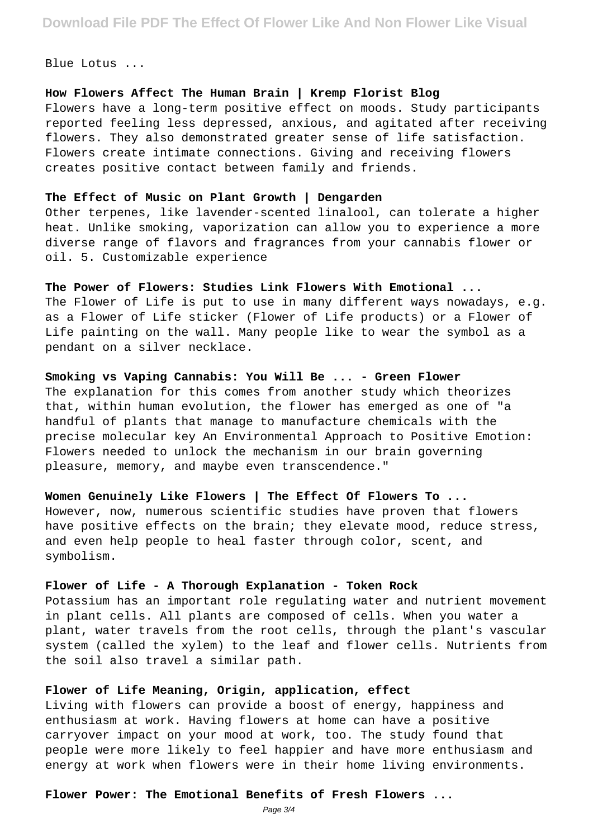Blue Lotus ...

# **How Flowers Affect The Human Brain | Kremp Florist Blog**

Flowers have a long-term positive effect on moods. Study participants reported feeling less depressed, anxious, and agitated after receiving flowers. They also demonstrated greater sense of life satisfaction. Flowers create intimate connections. Giving and receiving flowers creates positive contact between family and friends.

#### **The Effect of Music on Plant Growth | Dengarden**

Other terpenes, like lavender-scented linalool, can tolerate a higher heat. Unlike smoking, vaporization can allow you to experience a more diverse range of flavors and fragrances from your cannabis flower or oil. 5. Customizable experience

#### **The Power of Flowers: Studies Link Flowers With Emotional ...**

The Flower of Life is put to use in many different ways nowadays, e.g. as a Flower of Life sticker (Flower of Life products) or a Flower of Life painting on the wall. Many people like to wear the symbol as a pendant on a silver necklace.

## **Smoking vs Vaping Cannabis: You Will Be ... - Green Flower**

The explanation for this comes from another study which theorizes that, within human evolution, the flower has emerged as one of "a handful of plants that manage to manufacture chemicals with the precise molecular key An Environmental Approach to Positive Emotion: Flowers needed to unlock the mechanism in our brain governing pleasure, memory, and maybe even transcendence."

# **Women Genuinely Like Flowers | The Effect Of Flowers To ...**

However, now, numerous scientific studies have proven that flowers have positive effects on the brain; they elevate mood, reduce stress, and even help people to heal faster through color, scent, and symbolism.

# **Flower of Life - A Thorough Explanation - Token Rock**

Potassium has an important role regulating water and nutrient movement in plant cells. All plants are composed of cells. When you water a plant, water travels from the root cells, through the plant's vascular system (called the xylem) to the leaf and flower cells. Nutrients from the soil also travel a similar path.

# **Flower of Life Meaning, Origin, application, effect**

Living with flowers can provide a boost of energy, happiness and enthusiasm at work. Having flowers at home can have a positive carryover impact on your mood at work, too. The study found that people were more likely to feel happier and have more enthusiasm and energy at work when flowers were in their home living environments.

#### **Flower Power: The Emotional Benefits of Fresh Flowers ...**